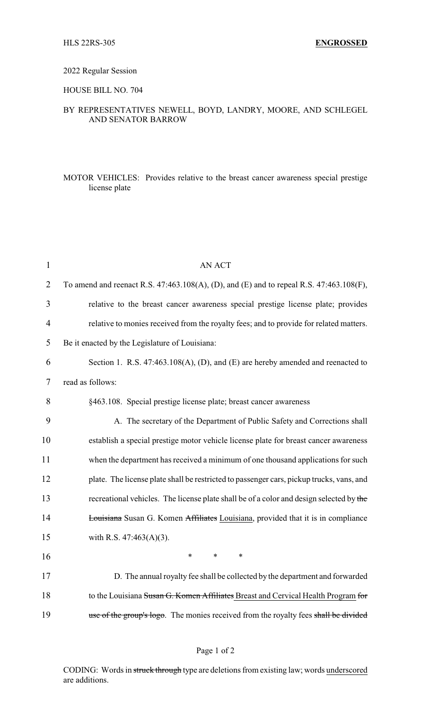### 2022 Regular Session

#### HOUSE BILL NO. 704

# BY REPRESENTATIVES NEWELL, BOYD, LANDRY, MOORE, AND SCHLEGEL AND SENATOR BARROW

## MOTOR VEHICLES: Provides relative to the breast cancer awareness special prestige license plate

| <b>AN ACT</b>                                                                            |
|------------------------------------------------------------------------------------------|
| To amend and reenact R.S. 47:463.108(A), (D), and (E) and to repeal R.S. 47:463.108(F),  |
| relative to the breast cancer awareness special prestige license plate; provides         |
| relative to monies received from the royalty fees; and to provide for related matters.   |
| Be it enacted by the Legislature of Louisiana:                                           |
| Section 1. R.S. 47:463.108(A), (D), and (E) are hereby amended and reenacted to          |
| read as follows:                                                                         |
| §463.108. Special prestige license plate; breast cancer awareness                        |
| A. The secretary of the Department of Public Safety and Corrections shall                |
| establish a special prestige motor vehicle license plate for breast cancer awareness     |
| when the department has received a minimum of one thousand applications for such         |
| plate. The license plate shall be restricted to passenger cars, pickup trucks, vans, and |
| recreational vehicles. The license plate shall be of a color and design selected by the  |
| Louisiana Susan G. Komen Affiliates Louisiana, provided that it is in compliance         |
| with R.S. $47:463(A)(3)$ .                                                               |
| $\ast$<br>$\ast$<br>$\ast$                                                               |
| D. The annual royalty fee shall be collected by the department and forwarded             |
| to the Louisiana Susan G. Komen Affiliates Breast and Cervical Health Program for        |
| use of the group's logo. The monies received from the royalty fees shall be divided      |
|                                                                                          |

CODING: Words in struck through type are deletions from existing law; words underscored are additions.